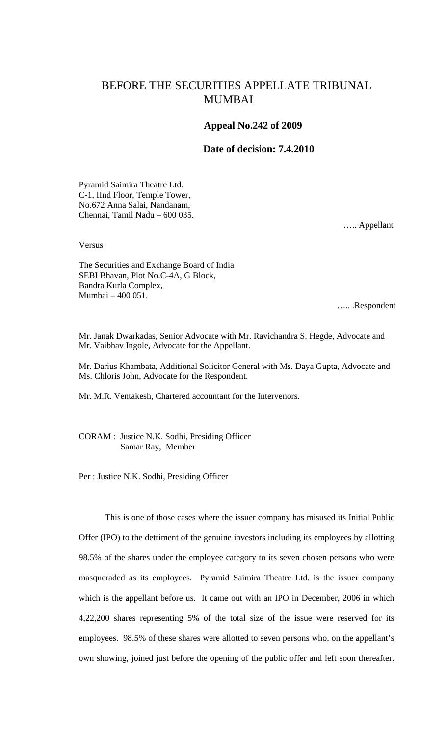## BEFORE THE SECURITIES APPELLATE TRIBUNAL MUMBAI

## **Appeal No.242 of 2009**

## **Date of decision: 7.4.2010**

Pyramid Saimira Theatre Ltd. C-1, IInd Floor, Temple Tower, No.672 Anna Salai, Nandanam, Chennai, Tamil Nadu – 600 035.

….. Appellant

Versus

The Securities and Exchange Board of India SEBI Bhavan, Plot No.C-4A, G Block, Bandra Kurla Complex, Mumbai – 400 051.

….. .Respondent

Mr. Janak Dwarkadas, Senior Advocate with Mr. Ravichandra S. Hegde, Advocate and Mr. Vaibhav Ingole, Advocate for the Appellant.

Mr. Darius Khambata, Additional Solicitor General with Ms. Daya Gupta, Advocate and Ms. Chloris John, Advocate for the Respondent.

Mr. M.R. Ventakesh, Chartered accountant for the Intervenors.

CORAM : Justice N.K. Sodhi, Presiding Officer Samar Ray, Member

Per : Justice N.K. Sodhi, Presiding Officer

This is one of those cases where the issuer company has misused its Initial Public Offer (IPO) to the detriment of the genuine investors including its employees by allotting 98.5% of the shares under the employee category to its seven chosen persons who were masqueraded as its employees. Pyramid Saimira Theatre Ltd. is the issuer company which is the appellant before us. It came out with an IPO in December, 2006 in which 4,22,200 shares representing 5% of the total size of the issue were reserved for its employees. 98.5% of these shares were allotted to seven persons who, on the appellant's own showing, joined just before the opening of the public offer and left soon thereafter.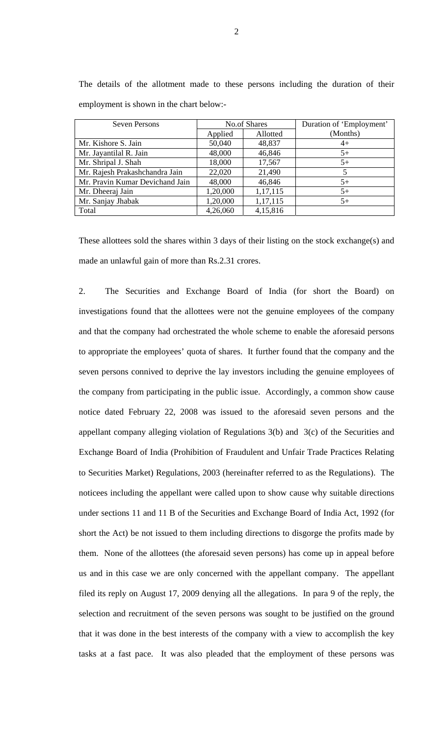| Seven Persons                   | No.of Shares |          | Duration of 'Employment' |
|---------------------------------|--------------|----------|--------------------------|
|                                 | Applied      | Allotted | (Months)                 |
| Mr. Kishore S. Jain             | 50,040       | 48,837   | $4+$                     |
| Mr. Jayantilal R. Jain          | 48,000       | 46,846   | $5+$                     |
| Mr. Shripal J. Shah             | 18,000       | 17,567   | $5+$                     |
| Mr. Rajesh Prakashchandra Jain  | 22,020       | 21,490   |                          |
| Mr. Pravin Kumar Devichand Jain | 48,000       | 46,846   | $5+$                     |
| Mr. Dheeraj Jain                | 1,20,000     | 1,17,115 | $5+$                     |
| Mr. Sanjay Jhabak               | 1,20,000     | 1,17,115 | $5+$                     |
| Total                           | 4,26,060     | 4,15,816 |                          |

The details of the allotment made to these persons including the duration of their employment is shown in the chart below:-

These allottees sold the shares within 3 days of their listing on the stock exchange(s) and made an unlawful gain of more than Rs.2.31 crores.

2. The Securities and Exchange Board of India (for short the Board) on investigations found that the allottees were not the genuine employees of the company and that the company had orchestrated the whole scheme to enable the aforesaid persons to appropriate the employees' quota of shares. It further found that the company and the seven persons connived to deprive the lay investors including the genuine employees of the company from participating in the public issue. Accordingly, a common show cause notice dated February 22, 2008 was issued to the aforesaid seven persons and the appellant company alleging violation of Regulations 3(b) and 3(c) of the Securities and Exchange Board of India (Prohibition of Fraudulent and Unfair Trade Practices Relating to Securities Market) Regulations, 2003 (hereinafter referred to as the Regulations). The noticees including the appellant were called upon to show cause why suitable directions under sections 11 and 11 B of the Securities and Exchange Board of India Act, 1992 (for short the Act) be not issued to them including directions to disgorge the profits made by them. None of the allottees (the aforesaid seven persons) has come up in appeal before us and in this case we are only concerned with the appellant company. The appellant filed its reply on August 17, 2009 denying all the allegations. In para 9 of the reply, the selection and recruitment of the seven persons was sought to be justified on the ground that it was done in the best interests of the company with a view to accomplish the key tasks at a fast pace. It was also pleaded that the employment of these persons was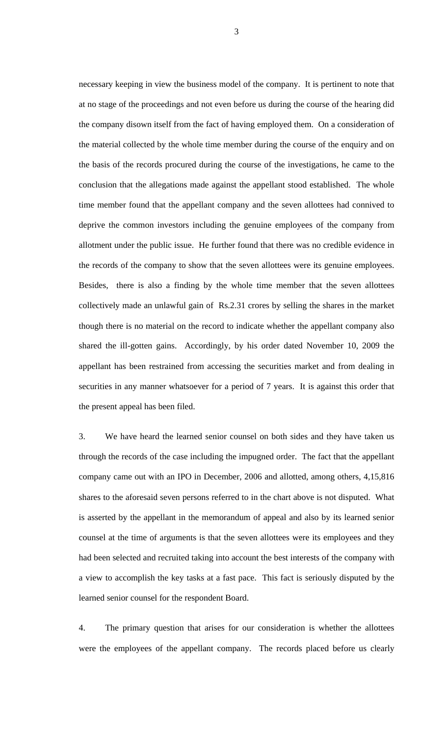necessary keeping in view the business model of the company. It is pertinent to note that at no stage of the proceedings and not even before us during the course of the hearing did the company disown itself from the fact of having employed them. On a consideration of the material collected by the whole time member during the course of the enquiry and on the basis of the records procured during the course of the investigations, he came to the conclusion that the allegations made against the appellant stood established. The whole time member found that the appellant company and the seven allottees had connived to deprive the common investors including the genuine employees of the company from allotment under the public issue. He further found that there was no credible evidence in the records of the company to show that the seven allottees were its genuine employees. Besides, there is also a finding by the whole time member that the seven allottees collectively made an unlawful gain of Rs.2.31 crores by selling the shares in the market though there is no material on the record to indicate whether the appellant company also shared the ill-gotten gains. Accordingly, by his order dated November 10, 2009 the appellant has been restrained from accessing the securities market and from dealing in securities in any manner whatsoever for a period of 7 years. It is against this order that the present appeal has been filed.

3. We have heard the learned senior counsel on both sides and they have taken us through the records of the case including the impugned order. The fact that the appellant company came out with an IPO in December, 2006 and allotted, among others, 4,15,816 shares to the aforesaid seven persons referred to in the chart above is not disputed. What is asserted by the appellant in the memorandum of appeal and also by its learned senior counsel at the time of arguments is that the seven allottees were its employees and they had been selected and recruited taking into account the best interests of the company with a view to accomplish the key tasks at a fast pace. This fact is seriously disputed by the learned senior counsel for the respondent Board.

4. The primary question that arises for our consideration is whether the allottees were the employees of the appellant company. The records placed before us clearly

3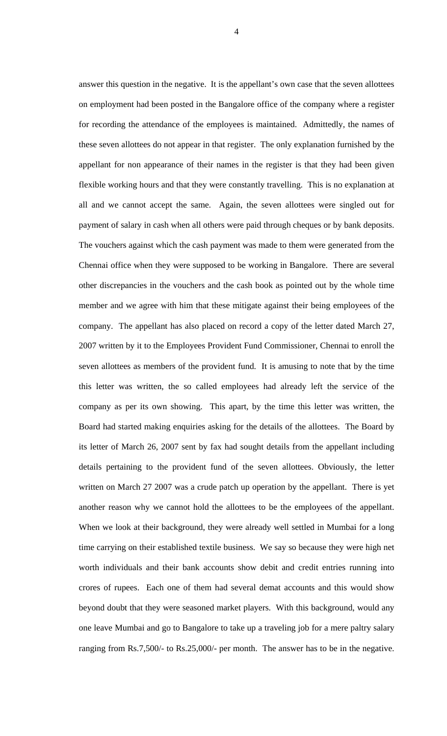answer this question in the negative. It is the appellant's own case that the seven allottees on employment had been posted in the Bangalore office of the company where a register for recording the attendance of the employees is maintained. Admittedly, the names of these seven allottees do not appear in that register. The only explanation furnished by the appellant for non appearance of their names in the register is that they had been given flexible working hours and that they were constantly travelling. This is no explanation at all and we cannot accept the same. Again, the seven allottees were singled out for payment of salary in cash when all others were paid through cheques or by bank deposits. The vouchers against which the cash payment was made to them were generated from the Chennai office when they were supposed to be working in Bangalore. There are several other discrepancies in the vouchers and the cash book as pointed out by the whole time member and we agree with him that these mitigate against their being employees of the company. The appellant has also placed on record a copy of the letter dated March 27, 2007 written by it to the Employees Provident Fund Commissioner, Chennai to enroll the seven allottees as members of the provident fund. It is amusing to note that by the time this letter was written, the so called employees had already left the service of the company as per its own showing. This apart, by the time this letter was written, the Board had started making enquiries asking for the details of the allottees. The Board by its letter of March 26, 2007 sent by fax had sought details from the appellant including details pertaining to the provident fund of the seven allottees. Obviously, the letter written on March 27 2007 was a crude patch up operation by the appellant. There is yet another reason why we cannot hold the allottees to be the employees of the appellant. When we look at their background, they were already well settled in Mumbai for a long time carrying on their established textile business. We say so because they were high net worth individuals and their bank accounts show debit and credit entries running into crores of rupees. Each one of them had several demat accounts and this would show beyond doubt that they were seasoned market players. With this background, would any one leave Mumbai and go to Bangalore to take up a traveling job for a mere paltry salary ranging from Rs.7,500/- to Rs.25,000/- per month. The answer has to be in the negative.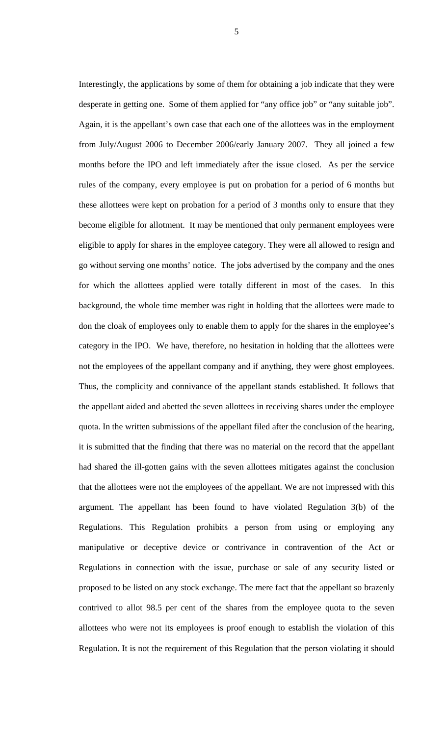Interestingly, the applications by some of them for obtaining a job indicate that they were desperate in getting one. Some of them applied for "any office job" or "any suitable job". Again, it is the appellant's own case that each one of the allottees was in the employment from July/August 2006 to December 2006/early January 2007. They all joined a few months before the IPO and left immediately after the issue closed. As per the service rules of the company, every employee is put on probation for a period of 6 months but these allottees were kept on probation for a period of 3 months only to ensure that they become eligible for allotment. It may be mentioned that only permanent employees were eligible to apply for shares in the employee category. They were all allowed to resign and go without serving one months' notice. The jobs advertised by the company and the ones for which the allottees applied were totally different in most of the cases. In this background, the whole time member was right in holding that the allottees were made to don the cloak of employees only to enable them to apply for the shares in the employee's category in the IPO. We have, therefore, no hesitation in holding that the allottees were not the employees of the appellant company and if anything, they were ghost employees. Thus, the complicity and connivance of the appellant stands established. It follows that the appellant aided and abetted the seven allottees in receiving shares under the employee quota. In the written submissions of the appellant filed after the conclusion of the hearing, it is submitted that the finding that there was no material on the record that the appellant had shared the ill-gotten gains with the seven allottees mitigates against the conclusion that the allottees were not the employees of the appellant. We are not impressed with this argument. The appellant has been found to have violated Regulation 3(b) of the Regulations. This Regulation prohibits a person from using or employing any manipulative or deceptive device or contrivance in contravention of the Act or Regulations in connection with the issue, purchase or sale of any security listed or proposed to be listed on any stock exchange. The mere fact that the appellant so brazenly contrived to allot 98.5 per cent of the shares from the employee quota to the seven allottees who were not its employees is proof enough to establish the violation of this Regulation. It is not the requirement of this Regulation that the person violating it should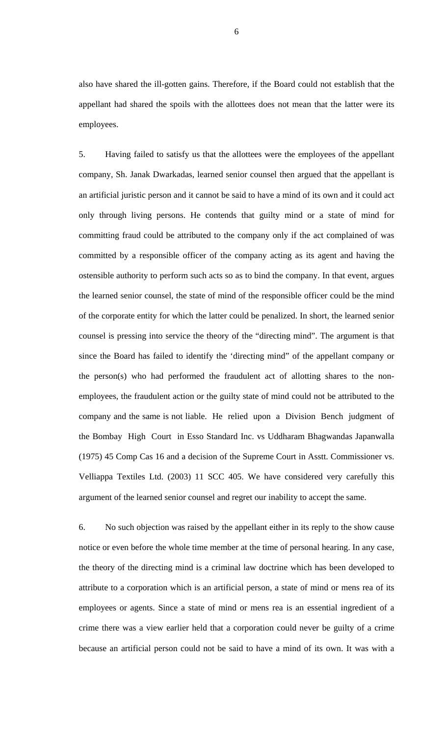also have shared the ill-gotten gains. Therefore, if the Board could not establish that the appellant had shared the spoils with the allottees does not mean that the latter were its employees.

5. Having failed to satisfy us that the allottees were the employees of the appellant company, Sh. Janak Dwarkadas, learned senior counsel then argued that the appellant is an artificial juristic person and it cannot be said to have a mind of its own and it could act only through living persons. He contends that guilty mind or a state of mind for committing fraud could be attributed to the company only if the act complained of was committed by a responsible officer of the company acting as its agent and having the ostensible authority to perform such acts so as to bind the company. In that event, argues the learned senior counsel, the state of mind of the responsible officer could be the mind of the corporate entity for which the latter could be penalized. In short, the learned senior counsel is pressing into service the theory of the "directing mind". The argument is that since the Board has failed to identify the 'directing mind" of the appellant company or the person(s) who had performed the fraudulent act of allotting shares to the nonemployees, the fraudulent action or the guilty state of mind could not be attributed to the company and the same is not liable. He relied upon a Division Bench judgment of the Bombay High Court in Esso Standard Inc. vs Uddharam Bhagwandas Japanwalla (1975) 45 Comp Cas 16 and a decision of the Supreme Court in Asstt. Commissioner vs. Velliappa Textiles Ltd. (2003) 11 SCC 405. We have considered very carefully this argument of the learned senior counsel and regret our inability to accept the same.

6. No such objection was raised by the appellant either in its reply to the show cause notice or even before the whole time member at the time of personal hearing. In any case, the theory of the directing mind is a criminal law doctrine which has been developed to attribute to a corporation which is an artificial person, a state of mind or mens rea of its employees or agents. Since a state of mind or mens rea is an essential ingredient of a crime there was a view earlier held that a corporation could never be guilty of a crime because an artificial person could not be said to have a mind of its own. It was with a

6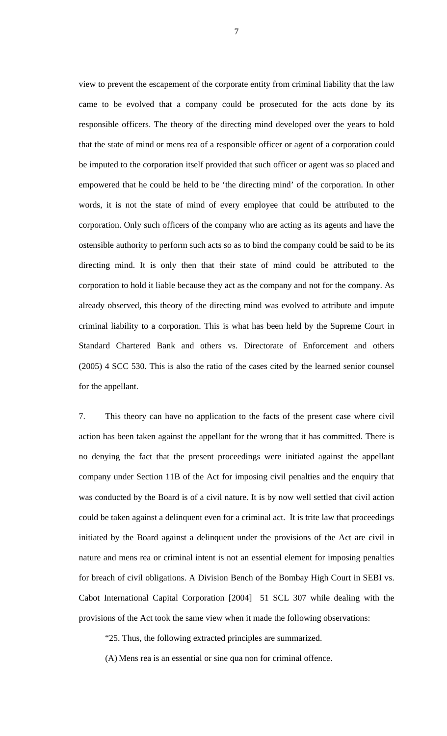view to prevent the escapement of the corporate entity from criminal liability that the law came to be evolved that a company could be prosecuted for the acts done by its responsible officers. The theory of the directing mind developed over the years to hold that the state of mind or mens rea of a responsible officer or agent of a corporation could be imputed to the corporation itself provided that such officer or agent was so placed and empowered that he could be held to be 'the directing mind' of the corporation. In other words, it is not the state of mind of every employee that could be attributed to the corporation. Only such officers of the company who are acting as its agents and have the ostensible authority to perform such acts so as to bind the company could be said to be its directing mind. It is only then that their state of mind could be attributed to the corporation to hold it liable because they act as the company and not for the company. As already observed, this theory of the directing mind was evolved to attribute and impute criminal liability to a corporation. This is what has been held by the Supreme Court in Standard Chartered Bank and others vs. Directorate of Enforcement and others (2005) 4 SCC 530. This is also the ratio of the cases cited by the learned senior counsel for the appellant.

7. This theory can have no application to the facts of the present case where civil action has been taken against the appellant for the wrong that it has committed. There is no denying the fact that the present proceedings were initiated against the appellant company under Section 11B of the Act for imposing civil penalties and the enquiry that was conducted by the Board is of a civil nature. It is by now well settled that civil action could be taken against a delinquent even for a criminal act. It is trite law that proceedings initiated by the Board against a delinquent under the provisions of the Act are civil in nature and mens rea or criminal intent is not an essential element for imposing penalties for breach of civil obligations. A Division Bench of the Bombay High Court in SEBI vs. Cabot International Capital Corporation [2004] 51 SCL 307 while dealing with the provisions of the Act took the same view when it made the following observations:

"25. Thus, the following extracted principles are summarized.

(A) Mens rea is an essential or sine qua non for criminal offence.

7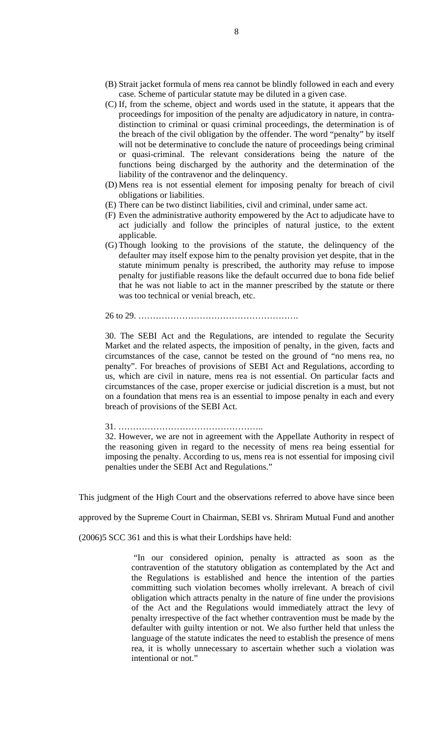- (B) Strait jacket formula of mens rea cannot be blindly followed in each and every case. Scheme of particular statute may be diluted in a given case.
- (C) If, from the scheme, object and words used in the statute, it appears that the proceedings for imposition of the penalty are adjudicatory in nature, in contradistinction to criminal or quasi criminal proceedings, the determination is of the breach of the civil obligation by the offender. The word "penalty" by itself will not be determinative to conclude the nature of proceedings being criminal or quasi-criminal. The relevant considerations being the nature of the functions being discharged by the authority and the determination of the liability of the contravenor and the delinquency.
- (D) Mens rea is not essential element for imposing penalty for breach of civil obligations or liabilities.
- (E) There can be two distinct liabilities, civil and criminal, under same act.
- (F) Even the administrative authority empowered by the Act to adjudicate have to act judicially and follow the principles of natural justice, to the extent applicable.
- (G) Though looking to the provisions of the statute, the delinquency of the defaulter may itself expose him to the penalty provision yet despite, that in the statute minimum penalty is prescribed, the authority may refuse to impose penalty for justifiable reasons like the default occurred due to bona fide belief that he was not liable to act in the manner prescribed by the statute or there was too technical or venial breach, etc.

26 to 29. ……………………………………………….

30. The SEBI Act and the Regulations, are intended to regulate the Security Market and the related aspects, the imposition of penalty, in the given, facts and circumstances of the case, cannot be tested on the ground of "no mens rea, no penalty". For breaches of provisions of SEBI Act and Regulations, according to us, which are civil in nature, mens rea is not essential. On particular facts and circumstances of the case, proper exercise or judicial discretion is a must, but not on a foundation that mens rea is an essential to impose penalty in each and every breach of provisions of the SEBI Act.

31. …………………………………………..

32. However, we are not in agreement with the Appellate Authority in respect of the reasoning given in regard to the necessity of mens rea being essential for imposing the penalty. According to us, mens rea is not essential for imposing civil penalties under the SEBI Act and Regulations."

This judgment of the High Court and the observations referred to above have since been

approved by the Supreme Court in Chairman, SEBI vs. Shriram Mutual Fund and another

(2006)5 SCC 361 and this is what their Lordships have held:

 "In our considered opinion, penalty is attracted as soon as the contravention of the statutory obligation as contemplated by the Act and the Regulations is established and hence the intention of the parties committing such violation becomes wholly irrelevant. A breach of civil obligation which attracts penalty in the nature of fine under the provisions of the Act and the Regulations would immediately attract the levy of penalty irrespective of the fact whether contravention must be made by the defaulter with guilty intention or not. We also further held that unless the language of the statute indicates the need to establish the presence of mens rea, it is wholly unnecessary to ascertain whether such a violation was intentional or not."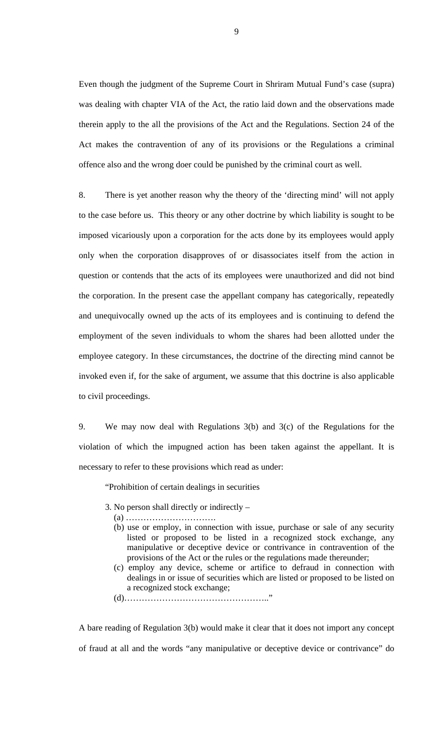Even though the judgment of the Supreme Court in Shriram Mutual Fund's case (supra) was dealing with chapter VIA of the Act, the ratio laid down and the observations made therein apply to the all the provisions of the Act and the Regulations. Section 24 of the Act makes the contravention of any of its provisions or the Regulations a criminal offence also and the wrong doer could be punished by the criminal court as well.

8. There is yet another reason why the theory of the 'directing mind' will not apply to the case before us. This theory or any other doctrine by which liability is sought to be imposed vicariously upon a corporation for the acts done by its employees would apply only when the corporation disapproves of or disassociates itself from the action in question or contends that the acts of its employees were unauthorized and did not bind the corporation. In the present case the appellant company has categorically, repeatedly and unequivocally owned up the acts of its employees and is continuing to defend the employment of the seven individuals to whom the shares had been allotted under the employee category. In these circumstances, the doctrine of the directing mind cannot be invoked even if, for the sake of argument, we assume that this doctrine is also applicable to civil proceedings.

9. We may now deal with Regulations 3(b) and 3(c) of the Regulations for the violation of which the impugned action has been taken against the appellant. It is necessary to refer to these provisions which read as under:

"Prohibition of certain dealings in securities

- 3. No person shall directly or indirectly
	- (a) ………………………….
	- (b) use or employ, in connection with issue, purchase or sale of any security listed or proposed to be listed in a recognized stock exchange, any manipulative or deceptive device or contrivance in contravention of the provisions of the Act or the rules or the regulations made thereunder;
	- (c) employ any device, scheme or artifice to defraud in connection with dealings in or issue of securities which are listed or proposed to be listed on a recognized stock exchange;

(d)………………………………………….."

A bare reading of Regulation 3(b) would make it clear that it does not import any concept of fraud at all and the words "any manipulative or deceptive device or contrivance" do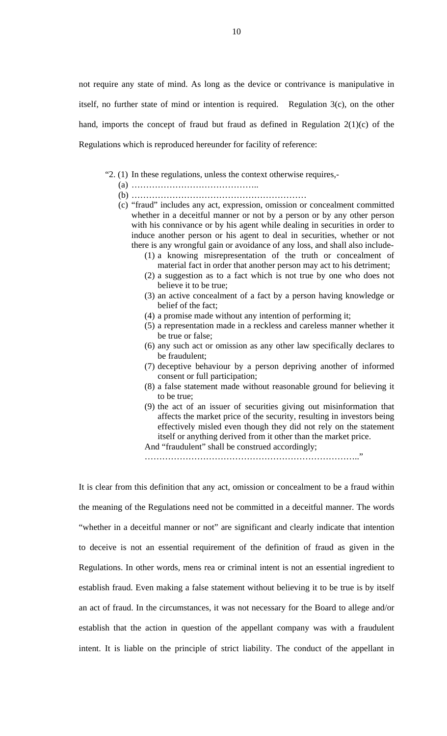not require any state of mind. As long as the device or contrivance is manipulative in itself, no further state of mind or intention is required. Regulation 3(c), on the other hand, imports the concept of fraud but fraud as defined in Regulation 2(1)(c) of the Regulations which is reproduced hereunder for facility of reference:

"2. (1) In these regulations, unless the context otherwise requires,-

- (a) ……………………………………..
- (b) ……………………………………………………
- (c) "fraud" includes any act, expression, omission or concealment committed whether in a deceitful manner or not by a person or by any other person with his connivance or by his agent while dealing in securities in order to induce another person or his agent to deal in securities, whether or not there is any wrongful gain or avoidance of any loss, and shall also include-
	- (1) a knowing misrepresentation of the truth or concealment of material fact in order that another person may act to his detriment;
	- (2) a suggestion as to a fact which is not true by one who does not believe it to be true;
	- (3) an active concealment of a fact by a person having knowledge or belief of the fact;
	- (4) a promise made without any intention of performing it;
	- (5) a representation made in a reckless and careless manner whether it be true or false;
	- (6) any such act or omission as any other law specifically declares to be fraudulent;
	- (7) deceptive behaviour by a person depriving another of informed consent or full participation;
	- (8) a false statement made without reasonable ground for believing it to be true;
	- (9) the act of an issuer of securities giving out misinformation that affects the market price of the security, resulting in investors being effectively misled even though they did not rely on the statement itself or anything derived from it other than the market price.

And "fraudulent" shall be construed accordingly;

……………………………………………………………….."

It is clear from this definition that any act, omission or concealment to be a fraud within the meaning of the Regulations need not be committed in a deceitful manner. The words "whether in a deceitful manner or not" are significant and clearly indicate that intention to deceive is not an essential requirement of the definition of fraud as given in the Regulations. In other words, mens rea or criminal intent is not an essential ingredient to establish fraud. Even making a false statement without believing it to be true is by itself an act of fraud. In the circumstances, it was not necessary for the Board to allege and/or establish that the action in question of the appellant company was with a fraudulent intent. It is liable on the principle of strict liability. The conduct of the appellant in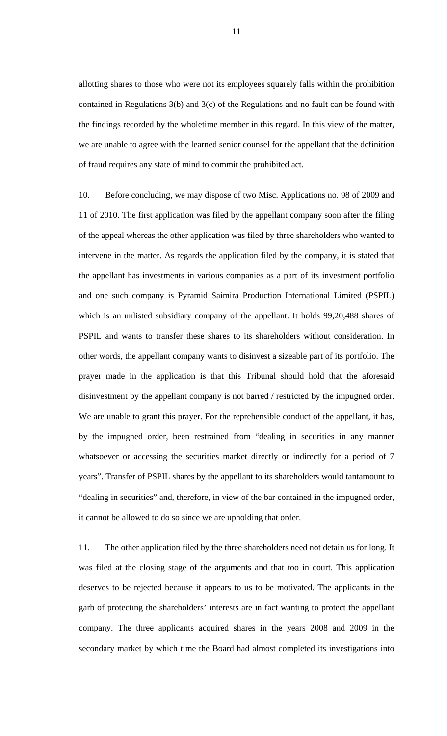allotting shares to those who were not its employees squarely falls within the prohibition contained in Regulations 3(b) and 3(c) of the Regulations and no fault can be found with the findings recorded by the wholetime member in this regard. In this view of the matter, we are unable to agree with the learned senior counsel for the appellant that the definition of fraud requires any state of mind to commit the prohibited act.

10. Before concluding, we may dispose of two Misc. Applications no. 98 of 2009 and 11 of 2010. The first application was filed by the appellant company soon after the filing of the appeal whereas the other application was filed by three shareholders who wanted to intervene in the matter. As regards the application filed by the company, it is stated that the appellant has investments in various companies as a part of its investment portfolio and one such company is Pyramid Saimira Production International Limited (PSPIL) which is an unlisted subsidiary company of the appellant. It holds 99,20,488 shares of PSPIL and wants to transfer these shares to its shareholders without consideration. In other words, the appellant company wants to disinvest a sizeable part of its portfolio. The prayer made in the application is that this Tribunal should hold that the aforesaid disinvestment by the appellant company is not barred / restricted by the impugned order. We are unable to grant this prayer. For the reprehensible conduct of the appellant, it has, by the impugned order, been restrained from "dealing in securities in any manner whatsoever or accessing the securities market directly or indirectly for a period of 7 years". Transfer of PSPIL shares by the appellant to its shareholders would tantamount to "dealing in securities" and, therefore, in view of the bar contained in the impugned order, it cannot be allowed to do so since we are upholding that order.

11. The other application filed by the three shareholders need not detain us for long. It was filed at the closing stage of the arguments and that too in court. This application deserves to be rejected because it appears to us to be motivated. The applicants in the garb of protecting the shareholders' interests are in fact wanting to protect the appellant company. The three applicants acquired shares in the years 2008 and 2009 in the secondary market by which time the Board had almost completed its investigations into